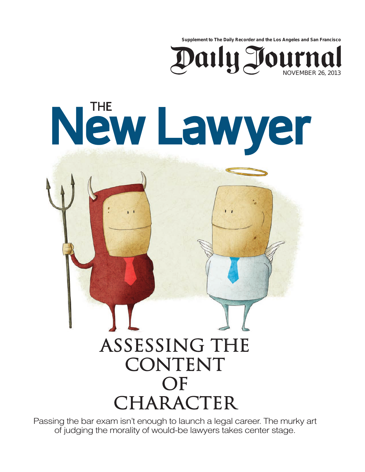**Supplement to The Daily Recorder and the Los Angeles and San Francisco**



## New Lawyer

## Assessing the CONTENT OF CHARACTER

Passing the bar exam isn't enough to launch a legal career. The murky art of judging the morality of would-be lawyers takes center stage.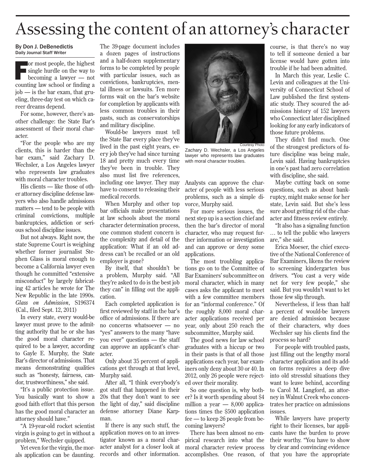## Assessing the content of an attorney's character

## By Don J. DeBenedictis Daily Journal Staff Writer

**For most people, the highest** single hurdle on the way to becoming a lawyer — not counting law school or finding a job — is the bar exam, that grueling, three-day test on which career dreams depend.

For some, however, there's another challenge: the State Bar's assessment of their moral character.

"For the people who are my clients, this is harder than the bar exam," said Zachary D. Wechsler, a Los Angeles lawyer who represents law graduates with moral character troubles.

His clients — like those of other attorney discipline defense lawyers who also handle admissions matters — tend to be people with criminal convictions, multiple bankruptcies, addiction or serious school discipline issues.

But not always. Right now, the state Supreme Court is weighing whether former journalist Stephen Glass is moral enough to become a California lawyer even though he committed "extensive misconduct" by largely fabricating 42 articles he wrote for The New Republic in the late 1990s. *Glass on Admission*, S196374 (Cal., filed Sept. 12, 2011)

In every state, every would-be lawyer must prove to the admitting authority that he or she has the good moral character required to be a lawyer, according to Gayle E. Murphy, the State Bar's director of admissions. That means demonstrating qualities such as "honesty, fairness, candor, trustworthiness," she said.

"It's a public protection issue. You basically want to show a good faith effort that this person has the good moral character an attorney should have."

"A 19-year-old rocket scientist virgin is going to get in without a problem," Wechsler quipped.

Yet even for the virgin, the morals application can be daunting.

The 39-page document includes a dozen pages of instructions and a half-dozen supplementary forms to be completed by people with particular issues, such as convictions, bankruptcies, mental illness or lawsuits. Ten more forms wait on the bar's website for completion by applicants with less common troubles in their pasts, such as conservatorships and military discipline.

Would-be lawyers must tell the State Bar every place they've lived in the past eight years, every job they've had since turning 18 and pretty much every time they've been in trouble. They also must list five references, including one lawyer. They may have to consent to releasing their medical records.

When Murphy and other top bar officials make presentations at law schools about the moral character determination process, one common student concern is the complexity and detail of the application: What if an old address can't be recalled or an old employer is gone?

By itself, that shouldn't be a problem, Murphy said. "All they're asked to do is the best job they can" in filling out the application.

Each completed application is first reviewed by staff in the bar's office of admissions. If there are no concerns whatsoever — no "yes" answers to the many "have you ever" questions — the staff can approve an applicant's character.

Only about 35 percent of applications get through at that level, Murphy said.

After all, "I think everybody's got stuff that happened in their 20s that they don't want to see the light of day," said discipline defense attorney Diane Karpman.

If there is any such stuff, the application moves on to an investigator known as a moral character analyst for a closer look at records and other information.



Courtesy Photo Zachary D. Wechsler, a Los Angeles lawyer who represents law graduates with moral character troubles.

Analysts can approve the character of people with less serious problems, such as a simple divorce, Murphy said.

For more serious issues, the next step up is a section chief and then the bar's director of moral character, who may request further information or investigation and can approve or deny some applications.

The most troubling applications go on to the Committee of Bar Examiners' subcommittee on moral character, which in many cases asks the applicant to meet with a few committee members for an "informal conference" Of the roughly 8,000 moral character applications received per year, only about 250 reach the subcommittee, Murphy said.

The good news for law school graduates with a hiccup or two in their pasts is that of all those applications each year, bar examiners only deny about 30 or 40. In 2012, only 26 people were rejected over their morality.

So one question is, why bother? Is it worth spending about \$4 million a year  $- 8,000$  applications times the \$500 application fee — to keep 26 people from becoming lawyers?

There has been almost no empirical research into what the moral character review process accomplishes. One reason, of course, is that there's no way to tell if someone denied a bar license would have gotten into trouble if he had been admitted.

In March this year, Leslie C. Levin and colleagues at the University of Connecticut School of Law published the first systematic study. They scoured the admissions history of 152 lawyers who Connecticut later disciplined looking for any early indicators of those future problems.

They didn't find much. One of the strongest predictors of future discipline was being male, Levin said. Having bankruptcies in one's past had zero correlation with discipline, she said.

Maybe cutting back on some questions, such as about bankruptcy, might make sense for her state, Levin said. But she's less sure about getting rid of the character and fitness review entirely.

"It also has a signaling function … to tell the public who lawyers are," she said.

Erica Moeser, the chief executive of the National Conference of Bar Examiners, likens the review to screening kindergarten bus drivers. "You cast a very wide net for very few people," she said. But you wouldn't want to let those few slip through.

Nevertheless, if less than half a percent of would-be lawyers are denied admission because of their characters, why does Wechsler say his clients find the process so hard?

For people with troubled pasts, just filling out the lengthy moral character application and its addon forms requires a deep dive into old stressful situations they want to leave behind, according to Carol M. Langford, an attorney in Walnut Creek who concentrates her practice on admissions issues.

While lawyers have property right to their licenses, bar applicants have the burden to prove their worthy. "You have to show by clear and convincing evidence that you have the appropriate